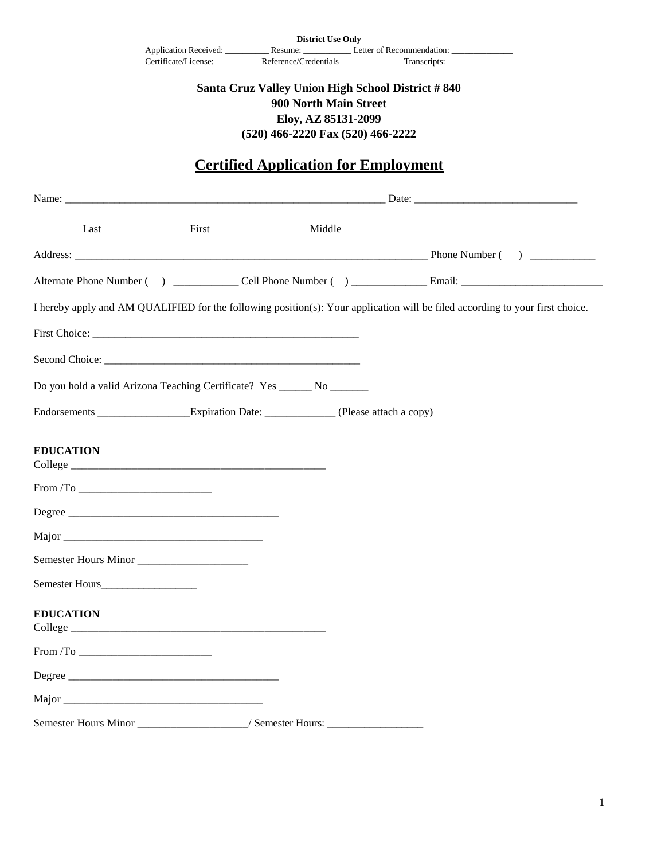| <b>District Use Only</b> |                       |                           |  |
|--------------------------|-----------------------|---------------------------|--|
| Application Received:    | Resume:               | Letter of Recommendation: |  |
| Certificate/License:     | Reference/Credentials | Transcripts:              |  |

## **Santa Cruz Valley Union High School District # 840 900 North Main Street Eloy, AZ 85131-2099 (520) 466-2220 Fax (520) 466-2222**

## **Certified Application for Employment**

| Last                 | First                                                                                    | Middle |                                                                                                                               |
|----------------------|------------------------------------------------------------------------------------------|--------|-------------------------------------------------------------------------------------------------------------------------------|
|                      |                                                                                          |        |                                                                                                                               |
|                      |                                                                                          |        |                                                                                                                               |
|                      |                                                                                          |        | I hereby apply and AM QUALIFIED for the following position(s): Your application will be filed according to your first choice. |
|                      |                                                                                          |        |                                                                                                                               |
|                      |                                                                                          |        |                                                                                                                               |
|                      | Do you hold a valid Arizona Teaching Certificate? Yes _______ No ________                |        |                                                                                                                               |
|                      | Endorsements _____________________Expiration Date: _______________(Please attach a copy) |        |                                                                                                                               |
| <b>EDUCATION</b>     |                                                                                          |        |                                                                                                                               |
| $From / To \_\_$     |                                                                                          |        |                                                                                                                               |
|                      |                                                                                          |        |                                                                                                                               |
|                      |                                                                                          |        |                                                                                                                               |
| Semester Hours Minor |                                                                                          |        |                                                                                                                               |
|                      |                                                                                          |        |                                                                                                                               |
| <b>EDUCATION</b>     |                                                                                          |        |                                                                                                                               |
|                      |                                                                                          |        |                                                                                                                               |
|                      |                                                                                          |        |                                                                                                                               |
| Major                |                                                                                          |        |                                                                                                                               |
|                      | Semester Hours Minor _________________/ Semester Hours: ________________________         |        |                                                                                                                               |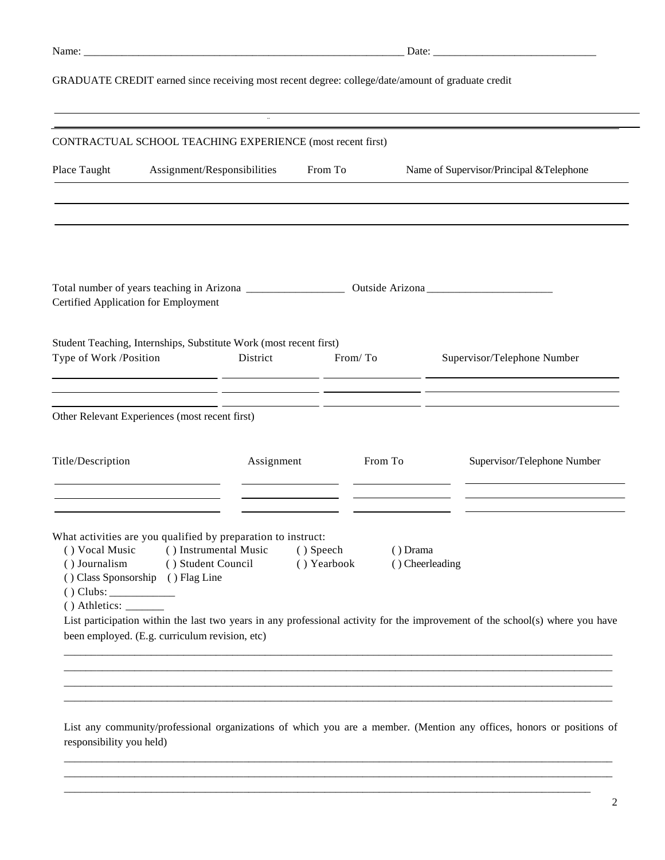| . . |  |
|-----|--|

## GRADUATE CREDIT earned since receiving most recent degree: college/date/amount of graduate credit

|                                      | CONTRACTUAL SCHOOL TEACHING EXPERIENCE (most recent first)                                                                                                                                                                                                                                        |                          |                             |                                                                                                                               |
|--------------------------------------|---------------------------------------------------------------------------------------------------------------------------------------------------------------------------------------------------------------------------------------------------------------------------------------------------|--------------------------|-----------------------------|-------------------------------------------------------------------------------------------------------------------------------|
| Place Taught                         | Assignment/Responsibilities                                                                                                                                                                                                                                                                       | From To                  |                             | Name of Supervisor/Principal & Telephone                                                                                      |
|                                      |                                                                                                                                                                                                                                                                                                   |                          |                             |                                                                                                                               |
| Certified Application for Employment |                                                                                                                                                                                                                                                                                                   |                          |                             |                                                                                                                               |
| Type of Work /Position               | Student Teaching, Internships, Substitute Work (most recent first)<br>District                                                                                                                                                                                                                    | From/To                  |                             | Supervisor/Telephone Number                                                                                                   |
|                                      | <u> 1990 - Andrea San Andrea Andrea Andrea Andrea Andrea Andrea Andrea Andrea Andrea Andrea Andrea Andrea Andrea </u><br><u> 1989 - John Harry Barn, mars and de la partie de la partie de la partie de la partie de la partie de la partie</u><br>Other Relevant Experiences (most recent first) |                          |                             |                                                                                                                               |
| Title/Description                    | Assignment                                                                                                                                                                                                                                                                                        |                          | From To                     | Supervisor/Telephone Number                                                                                                   |
| () Vocal Music<br>() Journalism      | What activities are you qualified by preparation to instruct:<br>() Instrumental Music<br>() Student Council<br>() Class Sponsorship () Flag Line<br>been employed. (E.g. curriculum revision, etc)                                                                                               | () Speech<br>() Yearbook | () Drama<br>() Cheerleading | List participation within the last two years in any professional activity for the improvement of the school(s) where you have |

\_\_\_\_\_\_\_\_\_\_\_\_\_\_\_\_\_\_\_\_\_\_\_\_\_\_\_\_\_\_\_\_\_\_\_\_\_\_\_\_\_\_\_\_\_\_\_\_\_\_\_\_\_\_\_\_\_\_\_\_\_\_\_\_\_\_\_\_\_\_\_\_\_\_\_\_\_\_\_\_\_\_\_\_\_\_\_\_\_\_\_\_\_\_\_\_\_\_\_\_\_ \_\_\_\_\_\_\_\_\_\_\_\_\_\_\_\_\_\_\_\_\_\_\_\_\_\_\_\_\_\_\_\_\_\_\_\_\_\_\_\_\_\_\_\_\_\_\_\_\_\_\_\_\_\_\_\_\_\_\_\_\_\_\_\_\_\_\_\_\_\_\_\_\_\_\_\_\_\_\_\_\_\_\_\_\_\_\_\_\_\_\_\_\_\_\_\_\_\_\_\_\_ \_\_\_\_\_\_\_\_\_\_\_\_\_\_\_\_\_\_\_\_\_\_\_\_\_\_\_\_\_\_\_\_\_\_\_\_\_\_\_\_\_\_\_\_\_\_\_\_\_\_\_\_\_\_\_\_\_\_\_\_\_\_\_\_\_\_\_\_\_\_\_\_\_\_\_\_\_\_\_\_\_\_\_\_\_\_\_\_\_\_\_\_\_\_\_\_\_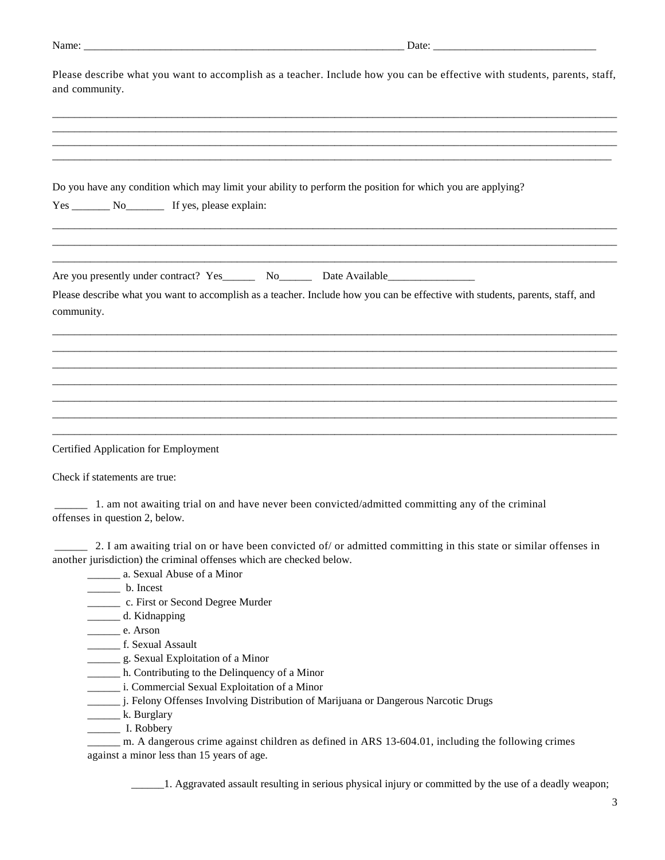| $ -$  | Date: |
|-------|-------|
| Name. |       |
|       | _____ |
|       |       |

| Please describe what you want to accomplish as a teacher. Include how you can be effective with students, parents, staff,<br>and community.                                                                                                                  |  |  |
|--------------------------------------------------------------------------------------------------------------------------------------------------------------------------------------------------------------------------------------------------------------|--|--|
|                                                                                                                                                                                                                                                              |  |  |
| Do you have any condition which may limit your ability to perform the position for which you are applying?                                                                                                                                                   |  |  |
| Are you presently under contract? Yes_________ No__________ Date Available__________________________                                                                                                                                                         |  |  |
| Please describe what you want to accomplish as a teacher. Include how you can be effective with students, parents, staff, and<br>community.                                                                                                                  |  |  |
|                                                                                                                                                                                                                                                              |  |  |
|                                                                                                                                                                                                                                                              |  |  |
|                                                                                                                                                                                                                                                              |  |  |
| <b>Certified Application for Employment</b>                                                                                                                                                                                                                  |  |  |
| Check if statements are true:                                                                                                                                                                                                                                |  |  |
| 1. am not awaiting trial on and have never been convicted/admitted committing any of the criminal<br>offenses in question 2, below.                                                                                                                          |  |  |
| 2. I am awaiting trial on or have been convicted of/ or admitted committing in this state or similar offenses in<br>another jurisdiction) the criminal offenses which are checked below.<br>__________ a. Sexual Abuse of a Minor<br>$\frac{1}{2}$ b. Incest |  |  |
| ____________ c. First or Second Degree Murder<br>d. Kidnapping<br>$\frac{1}{\sqrt{2}}$ e. Arson                                                                                                                                                              |  |  |
| f. Sexual Assault<br>___________ g. Sexual Exploitation of a Minor<br>______ h. Contributing to the Delinquency of a Minor<br>________ i. Commercial Sexual Exploitation of a Minor                                                                          |  |  |
| _ j. Felony Offenses Involving Distribution of Marijuana or Dangerous Narcotic Drugs                                                                                                                                                                         |  |  |

\_\_\_\_\_\_\_ k. Burglary \_\_\_\_\_\_ I. Robbery

m. A dangerous crime against children as defined in ARS 13-604.01, including the following crimes against a minor less than 15 years of age.

\_\_\_\_\_\_1. Aggravated assault resulting in serious physical injury or committed by the use of a deadly weapon;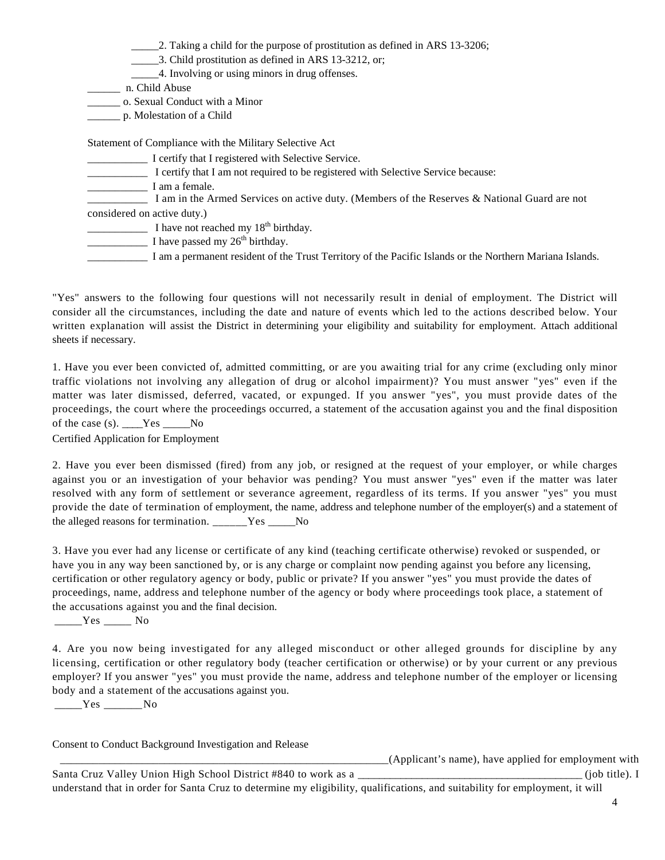2. Taking a child for the purpose of prostitution as defined in ARS 13-3206;

\_\_\_\_\_3. Child prostitution as defined in ARS 13-3212, or;

\_\_\_\_\_4. Involving or using minors in drug offenses.

\_\_\_\_\_\_ n. Child Abuse

\_\_\_\_\_\_ o. Sexual Conduct with a Minor

\_\_\_\_\_\_ p. Molestation of a Child

Statement of Compliance with the Military Selective Act

\_\_\_\_\_\_\_\_\_\_\_ I certify that I registered with Selective Service.

\_\_\_\_\_\_\_\_\_\_\_ I certify that I am not required to be registered with Selective Service because:

I am a female.

I am in the Armed Services on active duty. (Members of the Reserves & National Guard are not

considered on active duty.)

I have not reached my  $18<sup>th</sup>$  birthday.

 $\frac{1}{\sqrt{1-\frac{1}{\sqrt{1-\frac{1}{\sqrt{1-\frac{1}{\sqrt{1-\frac{1}{\sqrt{1-\frac{1}{\sqrt{1-\frac{1}{\sqrt{1-\frac{1}{\sqrt{1-\frac{1}{\sqrt{1-\frac{1}{\sqrt{1-\frac{1}{\sqrt{1-\frac{1}{\sqrt{1-\frac{1}{\sqrt{1-\frac{1}{\sqrt{1-\frac{1}{\sqrt{1-\frac{1}{\sqrt{1-\frac{1}{\sqrt{1-\frac{1}{\sqrt{1-\frac{1}{\sqrt{1-\frac{1}{\sqrt{1-\frac{1}{\sqrt{1-\frac{1}{\sqrt{1-\frac{1}{\sqrt{1-\frac{1}{\sqrt{1-\frac{1$ 

\_\_\_\_\_\_\_\_\_\_\_ I am a permanent resident of the Trust Territory of the Pacific Islands or the Northern Mariana Islands.

"Yes" answers to the following four questions will not necessarily result in denial of employment. The District will consider all the circumstances, including the date and nature of events which led to the actions described below. Your written explanation will assist the District in determining your eligibility and suitability for employment. Attach additional sheets if necessary.

1. Have you ever been convicted of, admitted committing, or are you awaiting trial for any crime (excluding only minor traffic violations not involving any allegation of drug or alcohol impairment)? You must answer "yes" even if the matter was later dismissed, deferred, vacated, or expunged. If you answer "yes", you must provide dates of the proceedings, the court where the proceedings occurred, a statement of the accusation against you and the final disposition of the case (s). \_\_\_\_Yes \_\_\_\_\_No

Certified Application for Employment

2. Have you ever been dismissed (fired) from any job, or resigned at the request of your employer, or while charges against you or an investigation of your behavior was pending? You must answer "yes" even if the matter was later resolved with any form of settlement or severance agreement, regardless of its terms. If you answer "yes" you must provide the date of termination of employment, the name, address and telephone number of the employer(s) and a statement of the alleged reasons for termination. Yes No

3. Have you ever had any license or certificate of any kind (teaching certificate otherwise) revoked or suspended, or have you in any way been sanctioned by, or is any charge or complaint now pending against you before any licensing, certification or other regulatory agency or body, public or private? If you answer "yes" you must provide the dates of proceedings, name, address and telephone number of the agency or body where proceedings took place, a statement of the accusations against you and the final decision.

\_\_\_\_\_Yes \_\_\_\_\_ No

4. Are you now being investigated for any alleged misconduct or other alleged grounds for discipline by any licensing, certification or other regulatory body (teacher certification or otherwise) or by your current or any previous employer? If you answer "yes" you must provide the name, address and telephone number of the employer or licensing body and a statement of the accusations against you.

\_\_\_\_\_Yes \_\_\_\_\_\_\_No

Consent to Conduct Background Investigation and Release

\_\_\_\_\_\_\_\_\_\_\_\_\_\_\_\_\_\_\_\_\_\_\_\_\_\_\_\_\_\_\_\_\_\_\_\_\_\_\_\_\_\_\_\_\_\_\_\_\_\_\_\_\_\_\_\_\_\_\_\_(Applicant's name), have applied for employment with

Santa Cruz Valley Union High School District #840 to work as a \_\_\_\_\_\_\_\_\_\_\_\_\_\_\_\_\_\_\_\_\_\_\_\_\_\_\_\_\_\_\_\_\_\_\_\_\_\_\_\_\_\_ (job title). I understand that in order for Santa Cruz to determine my eligibility, qualifications, and suitability for employment, it will